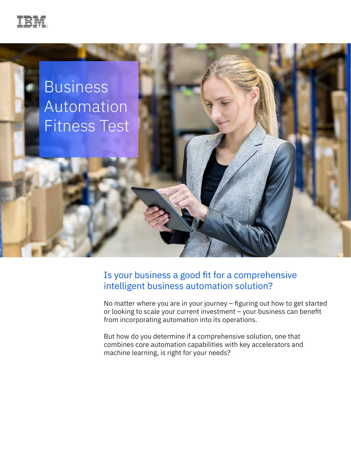



## Is your business a good fit for a comprehensive intelligent business automation solution?

No matter where you are in your journey – figuring out how to get started or looking to scale your current investment – your business can benefit from incorporating automation into its operations.

But how do you determine if a comprehensive solution, one that combines core automation capabilities with key accelerators and machine learning, is right for your needs?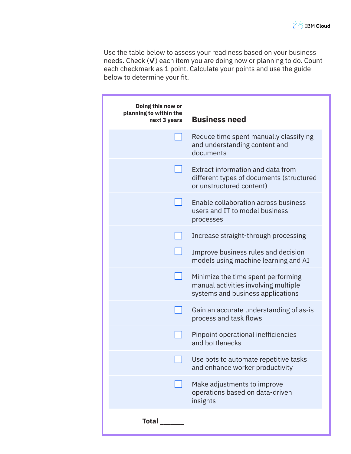Use the table below to assess your readiness based on your business needs. Check (**✓**) each item you are doing now or planning to do. Count each checkmark as 1 point. Calculate your points and use the guide below to determine your fit.

| Doing this now or<br>planning to within the<br>next 3 years | <b>Business need</b>                                                                                            |
|-------------------------------------------------------------|-----------------------------------------------------------------------------------------------------------------|
|                                                             | Reduce time spent manually classifying<br>and understanding content and<br>documents                            |
|                                                             | Extract information and data from<br>different types of documents (structured<br>or unstructured content)       |
|                                                             | Enable collaboration across business<br>users and IT to model business<br>processes                             |
|                                                             | Increase straight-through processing                                                                            |
|                                                             | Improve business rules and decision<br>models using machine learning and AI                                     |
|                                                             | Minimize the time spent performing<br>manual activities involving multiple<br>systems and business applications |
|                                                             | Gain an accurate understanding of as-is<br>process and task flows                                               |
|                                                             | Pinpoint operational inefficiencies<br>and bottlenecks                                                          |
|                                                             | Use bots to automate repetitive tasks<br>and enhance worker productivity                                        |
|                                                             | Make adjustments to improve<br>operations based on data-driven<br>insights                                      |
| Total $\_$                                                  |                                                                                                                 |